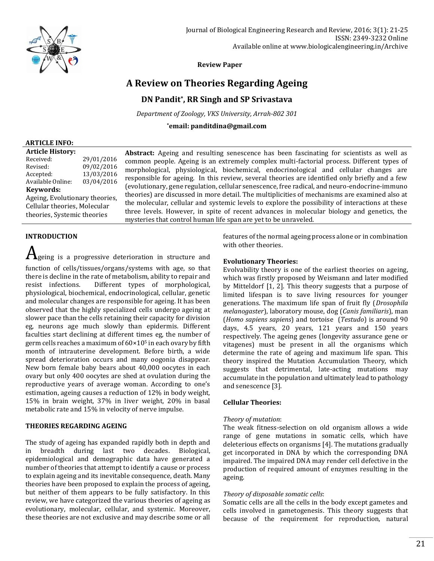

 **Review Paper**

# **A Review on Theories Regarding Ageing**

## **DN Pandit\* , RR Singh and SP Srivastava**

*Department of Zoology, VKS University, Arrah-802 301*

**\*email: panditdina@gmail.com**

## **ARTICLE INFO:**

| <b>Article History:</b>        |            | Al          |
|--------------------------------|------------|-------------|
| Received:                      | 29/01/2016 | $_{\rm CO}$ |
| Revised:                       | 09/02/2016 | m           |
| Accepted:                      | 13/03/2016 |             |
| Available Online:              | 03/04/2016 | re          |
| Keywords:                      |            | (e          |
| Ageing, Evolutionary theories, |            | th          |
| Cellular theories, Molecular   |            | th          |
|                                |            | th          |
| theories, Systemic theories    |            |             |

**Abstract:** Ageing and resulting senescence has been fascinating for scientists as well as mmon people. Ageing is an extremely complex multi-factorial process. Different types of morphological, physiological, biochemical, endocrinological and cellular changes are sponsible for ageing. In this review, several theories are identified only briefly and a few yolutionary, gene regulation, cellular senescence, free radical, and neuro-endocrine-immuno eories) are discussed in more detail. The multiplicities of mechanisms are examined also at e molecular, cellular and systemic levels to explore the possibility of interactions at these ree levels. However, in spite of recent advances in molecular biology and genetics, the mysteries that control human life span are yet to be unraveled.

## **INTRODUCTION**

 ${\bf A}$ geing is a progressive deterioration in structure and

function of cells/tissues/organs/systems with age, so that there is decline in the rate of metabolism, ability to repair and resist infections. Different types of morphological, physiological, biochemical, endocrinological, cellular, genetic and molecular changes are responsible for ageing. It has been observed that the highly specialized cells undergo ageing at slower pace than the cells retaining their capacity for division eg, neurons age much slowly than epidermis. Different faculties start declining at different times eg, the number of germ cells reaches a maximum of  $60\times10^5$  in each ovary by fifth month of intrauterine development. Before birth, a wide spread deterioration occurs and many oogonia disappear. New born female baby bears about 40,000 oocytes in each ovary but only 400 oocytes are shed at ovulation during the reproductive years of average woman. According to one's estimation, ageing causes a reduction of 12% in body weight, 15% in brain weight, 37% in liver weight, 20% in basal metabolic rate and 15% in velocity of nerve impulse.

## **THEORIES REGARDING AGEING**

The study of ageing has expanded rapidly both in depth and in breadth during last two decades. Biological, epidemiological and demographic data have generated a number of theories that attempt to identify a cause or process to explain ageing and its inevitable consequence, death. Many theories have been proposed to explain the process of ageing, but neither of them appears to be fully satisfactory. In this review, we have categorized the various theories of ageing as evolutionary, molecular, cellular, and systemic. Moreover, these theories are not exclusive and may describe some or all

features of the normal ageing process alone or in combination with other theories.

## **Evolutionary Theories:**

Evolvability theory is one of the earliest theories on ageing, which was firstly proposed by Weismann and later modified by Mitteldorf [1, 2]. This theory suggests that a purpose of limited lifespan is to save living resources for younger generations. The maximum life span of fruit fly (*Drosophila melanogaster*), laboratory mouse, dog (*Canis familiaris*), man (*Homo sapiens sapiens*) and tortoise (*Testudo*) is around 90 days, 4.5 years, 20 years, 121 years and 150 years respectively. The ageing genes (longevity assurance gene or vitagenes) must be present in all the organisms which determine the rate of ageing and maximum life span. This theory inspired the Mutation Accumulation Theory, which suggests that detrimental, late-acting mutations may accumulate in the population and ultimately lead to pathology and senescence [3].

## **Cellular Theories:**

## *Theory of mutation*:

The weak fitness-selection on old organism allows a wide range of gene mutations in somatic cells, which have deleterious effects on organisms [4]. The mutations gradually get incorporated in DNA by which the corresponding DNA impaired. The impaired DNA may render cell defective in the production of required amount of enzymes resulting in the ageing.

## *Theory of disposable somatic cells*:

Somatic cells are all the cells in the body except gametes and cells involved in gametogenesis. This theory suggests that because of the requirement for reproduction, natural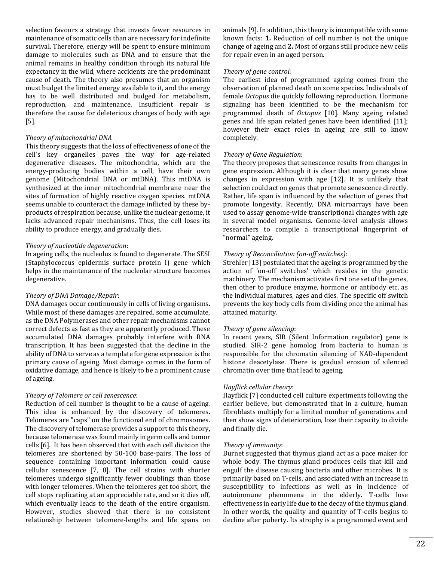selection favours a strategy that invests fewer resources in maintenance of somatic cells than are necessary for indefinite survival. Therefore, energy will be spent to ensure minimum damage to molecules such as DNA and to ensure that the animal remains in healthy condition through its natural life expectancy in the wild, where accidents are the predominant cause of death. The theory also presumes that an organism must budget the limited energy available to it, and the energy has to be well distributed and budged for metabolism, reproduction, and maintenance. Insufficient repair is therefore the cause for deleterious changes of body with age [5].

#### *Theory of mitochondrial DNA*

This theory suggests that the loss of effectiveness of one of the cell's key organelles paves the way for age-related degenerative diseases. The mitochondria, which are the energy-producing bodies within a cell, have their own genome (Mitochondrial DNA or mtDNA). This mtDNA is synthesized at the inner mitochondrial membrane near the sites of formation of highly reactive oxygen species. mtDNA seems unable to counteract the damage inflicted by these byproducts of respiration because, unlike the nuclear genome, it lacks advanced repair mechanisms. Thus, the cell loses its ability to produce energy, and gradually dies.

#### *Theory of nucleotide degeneration*:

In ageing cells, the nucleolus is found to degenerate. The SESI (Staphylococcus epidermis surface protein I) gene which helps in the maintenance of the nucleolar structure becomes degenerative.

#### *Theory of DNA Damage/Repair*:

DNA damages occur continuously in cells of living organisms. While most of these damages are repaired, some accumulate, as the DNA Polymerases and other repair mechanisms cannot correct defects as fast as they are apparently produced. These accumulated DNA damages probably interfere with RNA transcription. It has been suggested that the decline in the ability of DNA to serve as a template for gene expression is the primary cause of ageing. Most damage comes in the form of oxidative damage, and hence is likely to be a prominent cause of ageing.

## *Theory of Telomere or cell senescence*:

Reduction of cell number is thought to be a cause of ageing. This idea is enhanced by the discovery of telomeres. Telomeres are "caps" on the functional end of chromosomes. The discovery of telomerase provides a support to this theory, because telomerase was found mainly in germ cells and tumor cells [6]. It has been observed that with each cell division the telomeres are shortened by 50-100 base-pairs. The loss of sequence containing important information could cause cellular senescence [7, 8]. The cell strains with shorter telomeres undergo significantly fewer doublings than those with longer telomeres. When the telomeres get too short, the cell stops replicating at an appreciable rate, and so it dies off, which eventually leads to the death of the entire organism. However, studies showed that there is no consistent relationship between telomere-lengths and life spans on

animals [9]. In addition, this theory is incompatible with some known facts: **1.** Reduction of cell number is not the unique change of ageing and **2.** Most of organs still produce new cells for repair even in an aged person.

### *Theory of gene control*:

The earliest idea of programmed ageing comes from the observation of planned death on some species. Individuals of female *Octopus* die quickly following reproduction. Hormone signaling has been identified to be the mechanism for programmed death of *Octopus* [10]. Many ageing related genes and life span related genes have been identified [11]; however their exact roles in ageing are still to know completely.

#### *Theory of Gene Regulation*:

The theory proposes that senescence results from changes in gene expression. Although it is clear that many genes show changes in expression with age [12]. It is unlikely that selection could act on genes that promote senescence directly. Rather, life span is influenced by the selection of genes that promote longevity. Recently, DNA microarrays have been used to assay genome-wide transcriptional changes with age in several model organisms. Genome-level analysis allows researchers to compile a transcriptional fingerprint of "normal" ageing.

#### *Theory of Reconciliation (on-off switches):*

Strehler [13] postulated that the ageing is programmed by the action of 'on-off switches' which resides in the genetic machinery. The mechanism activates first one set of the genes, then other to produce enzyme, hormone or antibody etc. as the individual matures, ages and dies. The specific off switch prevents the key body cells from dividing once the animal has attained maturity.

#### *Theory of gene silencing*:

In recent years, SIR (Silent Information regulator) gene is studied. SIR-2 gene homolog from bacteria to human is responsible for the chromatin silencing of NAD-dependent histone deacetylase. There is gradual erosion of silenced chromatin over time that lead to ageing.

#### *Hayflick cellular theory*:

Hayflick [7] conducted cell culture experiments following the earlier believe, but demonstrated that in a culture, human fibroblasts multiply for a limited number of generations and then show signs of deterioration, lose their capacity to divide and finally die.

#### *Theory of immunity*:

Burnet suggested that thymus gland act as a pace maker for whole body. The thymus gland produces cells that kill and engulf the disease causing bacteria and other microbes. It is primarily based on T-cells, and associated with an increase in susceptibility to infections as well as in incidence of autoimmune phenomena in the elderly. T-cells lose effectiveness in early life due to the decay of the thymus gland. In other words, the quality and quantity of T-cells begins to decline after puberty. Its atrophy is a programmed event and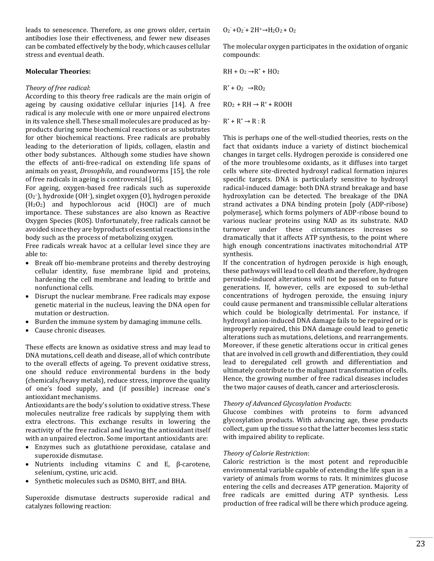leads to senescence. Therefore, as one grows older, certain antibodies lose their effectiveness, and fewer new diseases can be combated effectively by the body, which causes cellular stress and eventual death.

## **Molecular Theories:**

## *Theory of free radical*:

According to this theory free radicals are the main origin of ageing by causing oxidative cellular injuries [14]. A free radical is any molecule with one or more unpaired electrons in its valence shell. These small molecules are produced as byproducts during some biochemical reactions or as substrates for other biochemical reactions. Free radicals are probably leading to the deterioration of lipids, collagen, elastin and other body substances. Although some studies have shown the effects of anti-free-radical on extending life spans of animals on yeast, *Drosophila*, and roundworms [15], the role of free radicals in ageing is controversial [16].

For ageing, oxygen-based free radicals such as superoxide (O<sup>2</sup> –), hydroxide (OH–), singlet oxygen (O), hydrogen peroxide (H2O2) and hypochlorous acid (HOCl) are of much importance. These substances are also known as Reactive Oxygen Species (ROS). Unfortunately, free radicals cannot be avoided since they are byproducts of essential reactions in the body such as the process of metabolizing oxygen.

Free radicals wreak havoc at a cellular level since they are able to:

- Break off bio-membrane proteins and thereby destroying cellular identity, fuse membrane lipid and proteins, hardening the cell membrane and leading to brittle and nonfunctional cells.
- Disrupt the nuclear membrane. Free radicals may expose genetic material in the nucleus, leaving the DNA open for mutation or destruction.
- Burden the immune system by damaging immune cells.
- Cause chronic diseases.

These effects are known as oxidative stress and may lead to DNA mutations, cell death and disease, all of which contribute to the overall effects of ageing. To prevent oxidative stress, one should reduce environmental burdens in the body (chemicals/heavy metals), reduce stress, improve the quality of one's food supply, and (if possible) increase one's antioxidant mechanisms.

Antioxidants are the body's solution to oxidative stress. These molecules neutralize free radicals by supplying them with extra electrons. This exchange results in lowering the reactivity of the free radical and leaving the antioxidant itself with an unpaired electron. Some important antioxidants are:

- Enzymes such as glutathione peroxidase, catalase and superoxide dismutase.
- Nutrients including vitamins C and E, β-carotene, selenium, cystine, uric acid.
- Synthetic molecules such as DSMO, BHT, and BHA.

Superoxide dismutase destructs superoxide radical and catalyzes following reaction:

 $O_2 + O_2 + 2H^+ \rightarrow H_2O_2 + O_2$ 

The molecular oxygen participates in the oxidation of organic compounds:

$$
RH + O_2 \rightarrow R^* + HO_2
$$
  

$$
R^* + O_2 \rightarrow RO_2
$$
  

$$
RO_2 + RH \rightarrow R^* + ROOH
$$

$$
R^* + R^* \to R : R
$$

This is perhaps one of the well-studied theories, rests on the fact that oxidants induce a variety of distinct biochemical changes in target cells. Hydrogen peroxide is considered one of the more troublesome oxidants, as it diffuses into target cells where site-directed hydroxyl radical formation injures specific targets. DNA is particularly sensitive to hydroxyl radical-induced damage: both DNA strand breakage and base hydroxylation can be detected. The breakage of the DNA strand activates a DNA binding protein [poly (ADP-ribose) polymerase], which forms polymers of ADP-ribose bound to various nuclear proteins using NAD as its substrate. NAD turnover under these circumstances increases so dramatically that it affects ATP synthesis, to the point where high enough concentrations inactivates mitochondrial ATP synthesis.

If the concentration of hydrogen peroxide is high enough, these pathways will lead to cell death and therefore, hydrogen peroxide-induced alterations will not be passed on to future generations. If, however, cells are exposed to sub-lethal concentrations of hydrogen peroxide, the ensuing injury could cause permanent and transmissible cellular alterations which could be biologically detrimental. For instance, if hydroxyl anion-induced DNA damage fails to be repaired or is improperly repaired, this DNA damage could lead to genetic alterations such as mutations, deletions, and rearrangements. Moreover, if these genetic alterations occur in critical genes that are involved in cell growth and differentiation, they could lead to deregulated cell growth and differentiation and ultimately contribute to the malignant transformation of cells. Hence, the growing number of free radical diseases includes the two major causes of death, cancer and arteriosclerosis.

## *Theory of Advanced Glycosylation Products*:

Glucose combines with proteins to form advanced glycosylation products. With advancing age, these products collect, gum up the tissue so that the latter becomes less static with impaired ability to replicate.

## *Theory of Calorie Restriction*:

Caloric restriction is the most potent and reproducible environmental variable capable of extending the life span in a variety of animals from worms to rats. It minimizes glucose entering the cells and decreases ATP generation. Majority of free radicals are emitted during ATP synthesis. Less production of free radical will be there which produce ageing.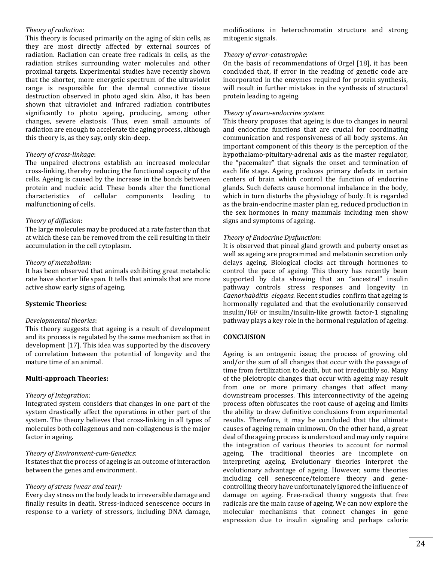#### *Theory of radiation*:

This theory is focused primarily on the aging of skin cells, as they are most directly affected by external sources of radiation. Radiation can create free radicals in cells, as the radiation strikes surrounding water molecules and other proximal targets. Experimental studies have recently shown that the shorter, more energetic spectrum of the ultraviolet range is responsible for the dermal connective tissue destruction observed in photo aged skin. Also, it has been shown that ultraviolet and infrared radiation contributes significantly to photo ageing, producing, among other changes, severe elastosis. Thus, even small amounts of radiation are enough to accelerate the aging process, although this theory is, as they say, only skin-deep.

#### *Theory of cross-linkage*:

The unpaired electrons establish an increased molecular cross-linking, thereby reducing the functional capacity of the cells. Ageing is caused by the increase in the bonds between protein and nucleic acid. These bonds alter the functional characteristics of cellular components leading to malfunctioning of cells.

#### *Theory of diffusion*:

The large molecules may be produced at a rate faster than that at which these can be removed from the cell resulting in their accumulation in the cell cytoplasm.

#### *Theory of metabolism*:

It has been observed that animals exhibiting great metabolic rate have shorter life span. It tells that animals that are more active show early signs of ageing.

## **Systemic Theories:**

#### *Developmental theories*:

This theory suggests that ageing is a result of development and its process is regulated by the same mechanism as that in development [17]. This idea was supported by the discovery of correlation between the potential of longevity and the mature time of an animal.

#### **Multi-approach Theories:**

#### *Theory of Integration*:

Integrated system considers that changes in one part of the system drastically affect the operations in other part of the system. The theory believes that cross-linking in all types of molecules both collagenous and non-collagenous is the major factor in ageing.

#### *Theory of Environment-cum-Genetics*:

It states that the process of ageing is an outcome of interaction between the genes and environment.

#### *Theory of stress (wear and tear):*

Every day stress on the body leads to irreversible damage and finally results in death. Stress-induced senescence occurs in response to a variety of stressors, including DNA damage, modifications in heterochromatin structure and strong mitogenic signals.

#### *Theory of error-catastrophe*:

On the basis of recommendations of Orgel [18], it has been concluded that, if error in the reading of genetic code are incorporated in the enzymes required for protein synthesis, will result in further mistakes in the synthesis of structural protein leading to ageing.

### *Theory of neuro-endocrine system*:

This theory proposes that ageing is due to changes in neural and endocrine functions that are crucial for coordinating communication and responsiveness of all body systems. An important component of this theory is the perception of the hypothalamo-pituitary-adrenal axis as the master regulator, the "pacemaker" that signals the onset and termination of each life stage. Ageing produces primary defects in certain centers of brain which control the function of endocrine glands. Such defects cause hormonal imbalance in the body, which in turn disturbs the physiology of body. It is regarded as the brain-endocrine master plan eg, reduced production in the sex hormones in many mammals including men show signs and symptoms of ageing.

## *Theory of Endocrine Dysfunction*:

It is observed that pineal gland growth and puberty onset as well as ageing are programmed and melatonin secretion only delays ageing. Biological clocks act through hormones to control the pace of ageing. This theory has recently been supported by data showing that an "ancestral" insulin pathway controls stress responses and longevity in *Caenorhabditis elegans.* Recent studies confirm that ageing is hormonally regulated and that the evolutionarily conserved insulin/IGF or insulin/insulin-like growth factor-1 signaling pathway plays a key role in the hormonal regulation of ageing.

## **CONCLUSION**

Ageing is an ontogenic issue; the process of growing old and/or the sum of all changes that occur with the passage of time from fertilization to death, but not irreducibly so. Many of the pleiotropic changes that occur with ageing may result from one or more primary changes that affect many downstream processes. This interconnectivity of the ageing process often obfuscates the root cause of ageing and limits the ability to draw definitive conclusions from experimental results. Therefore, it may be concluded that the ultimate causes of ageing remain unknown. On the other hand, a great deal of the ageing process is understood and may only require the integration of various theories to account for normal ageing. The traditional theories are incomplete on interpreting ageing. Evolutionary theories interpret the evolutionary advantage of ageing. However, some theories including cell senescence/telomere theory and genecontrolling theory have unfortunately ignored the influence of damage on ageing. Free-radical theory suggests that free radicals are the main cause of ageing. We can now explore the molecular mechanisms that connect changes in gene expression due to insulin signaling and perhaps calorie